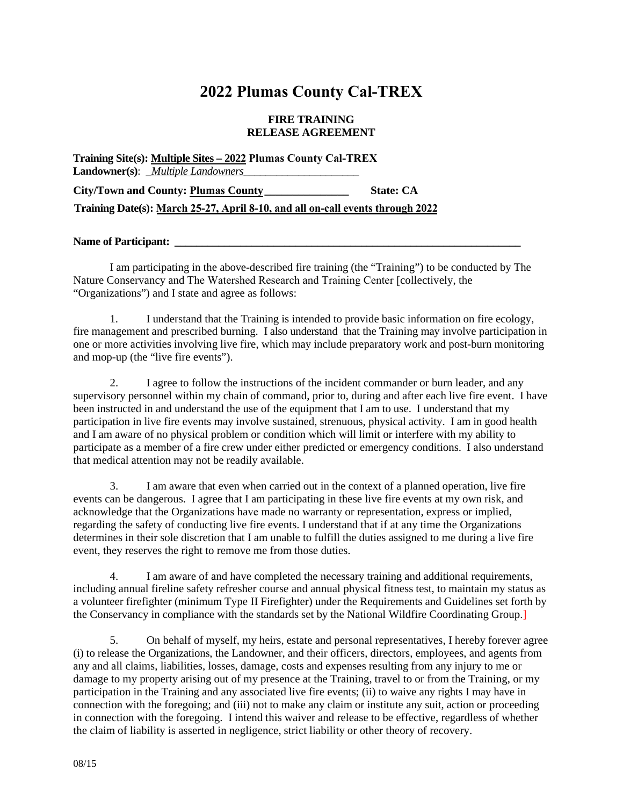## **2022 Plumas County Cal-TREX**

## **FIRE TRAINING RELEASE AGREEMENT**

| Training Site(s): Multiple Sites - 2022 Plumas County Cal-TREX                 |                  |
|--------------------------------------------------------------------------------|------------------|
| <b>Landowner(s):</b> <i>_Multiple Landowners</i> _                             |                  |
| City/Town and County: Plumas County                                            | <b>State: CA</b> |
| Training Date(s): March 25-27, April 8-10, and all on-call events through 2022 |                  |

## **Name of Participant: \_\_\_\_\_\_\_\_\_\_\_\_\_\_\_\_\_\_\_\_\_\_\_\_\_\_\_\_\_\_\_\_\_\_\_\_\_\_\_\_\_\_\_\_\_\_\_\_\_\_\_\_\_\_\_\_\_\_\_\_\_\_\_**

I am participating in the above-described fire training (the "Training") to be conducted by The Nature Conservancy and The Watershed Research and Training Center [collectively, the "Organizations") and I state and agree as follows:

1. I understand that the Training is intended to provide basic information on fire ecology, fire management and prescribed burning. I also understand that the Training may involve participation in one or more activities involving live fire, which may include preparatory work and post-burn monitoring and mop-up (the "live fire events").

2. I agree to follow the instructions of the incident commander or burn leader, and any supervisory personnel within my chain of command, prior to, during and after each live fire event. I have been instructed in and understand the use of the equipment that I am to use. I understand that my participation in live fire events may involve sustained, strenuous, physical activity. I am in good health and I am aware of no physical problem or condition which will limit or interfere with my ability to participate as a member of a fire crew under either predicted or emergency conditions. I also understand that medical attention may not be readily available.

3. I am aware that even when carried out in the context of a planned operation, live fire events can be dangerous. I agree that I am participating in these live fire events at my own risk, and acknowledge that the Organizations have made no warranty or representation, express or implied, regarding the safety of conducting live fire events. I understand that if at any time the Organizations determines in their sole discretion that I am unable to fulfill the duties assigned to me during a live fire event, they reserves the right to remove me from those duties.

4. I am aware of and have completed the necessary training and additional requirements, including annual fireline safety refresher course and annual physical fitness test, to maintain my status as a volunteer firefighter (minimum Type II Firefighter) under the Requirements and Guidelines set forth by the Conservancy in compliance with the standards set by the National Wildfire Coordinating Group.]

5. On behalf of myself, my heirs, estate and personal representatives, I hereby forever agree (i) to release the Organizations, the Landowner, and their officers, directors, employees, and agents from any and all claims, liabilities, losses, damage, costs and expenses resulting from any injury to me or damage to my property arising out of my presence at the Training, travel to or from the Training, or my participation in the Training and any associated live fire events; (ii) to waive any rights I may have in connection with the foregoing; and (iii) not to make any claim or institute any suit, action or proceeding in connection with the foregoing. I intend this waiver and release to be effective, regardless of whether the claim of liability is asserted in negligence, strict liability or other theory of recovery.